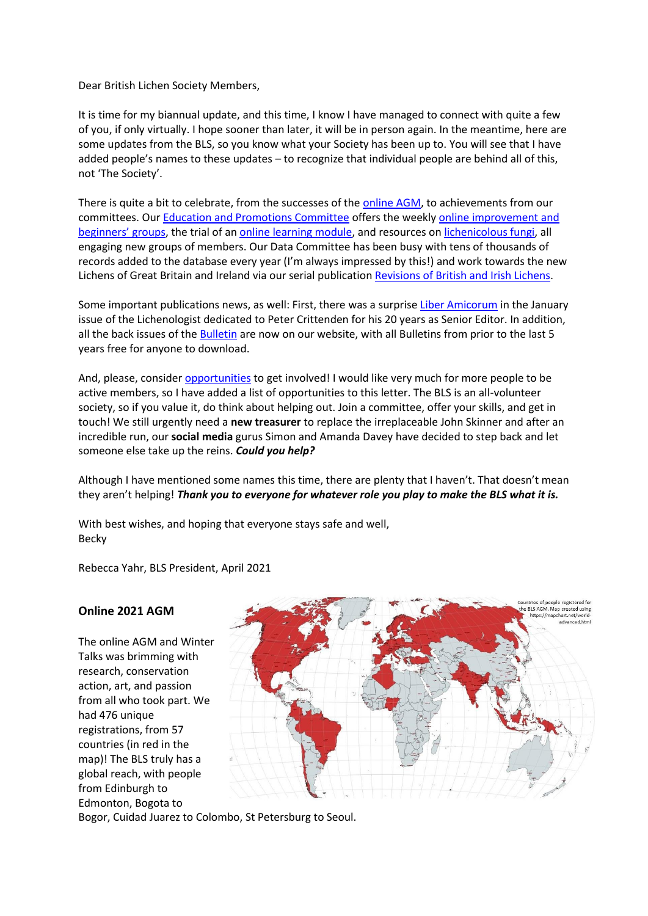Dear British Lichen Society Members,

It is time for my biannual update, and this time, I know I have managed to connect with quite a few of you, if only virtually. I hope sooner than later, it will be in person again. In the meantime, here are some updates from the BLS, so you know what your Society has been up to. You will see that I have added people's names to these updates – to recognize that individual people are behind all of this, not 'The Society'.

There is quite a bit to celebrate, from the successes of the [online AGM,](#page-0-0) to achievements from our committees. Our [Education and Promotions Committee](#page-1-0) offers the weekly [online improvement and](#page-1-1)  [beginners' groups](#page-1-1), the trial of an [online learning module,](#page-1-2) and resources on [lichenicolous fungi,](#page-1-3) all engaging new groups of members. Our Data Committee has been busy with tens of thousands of records added to the database every year (I'm always impressed by this!) and work towards the new Lichens of Great Britain and Ireland via our serial publicatio[n Revisions of British and Irish Lichens.](#page-2-0)

Some important publications news, as well: First, there was a surprise [Liber Amicorum](https://www.cambridge.org/core/journals/lichenologist/article/peter-crittenden-a-liber-amicorum/C42D23274409EB0E7F5F905D09E3138C) in the January issue of the Lichenologist dedicated to Peter Crittenden for his 20 years as Senior Editor. In addition, all the back issues of th[e Bulletin](#page-2-1) are now on our website, with all Bulletins from prior to the last 5 years free for anyone to download.

And, please, consider [opportunities](#page-2-2) to get involved! I would like very much for more people to be active members, so I have added a list of opportunities to this letter. The BLS is an all-volunteer society, so if you value it, do think about helping out. Join a committee, offer your skills, and get in touch! We still urgently need a **new treasurer** to replace the irreplaceable John Skinner and after an incredible run, our **social media** gurus Simon and Amanda Davey have decided to step back and let someone else take up the reins. *Could you help?*

Although I have mentioned some names this time, there are plenty that I haven't. That doesn't mean they aren't helping! *Thank you to everyone for whatever role you play to make the BLS what it is.*

With best wishes, and hoping that everyone stays safe and well, Becky

Rebecca Yahr, BLS President, April 2021

### <span id="page-0-0"></span>**Online 2021 AGM**

The online AGM and Winter Talks was brimming with research, conservation action, art, and passion from all who took part. We had 476 unique registrations, from 57 countries (in red in the map)! The BLS truly has a global reach, with people from Edinburgh to Edmonton, Bogota to



Bogor, Cuidad Juarez to Colombo, St Petersburg to Seoul.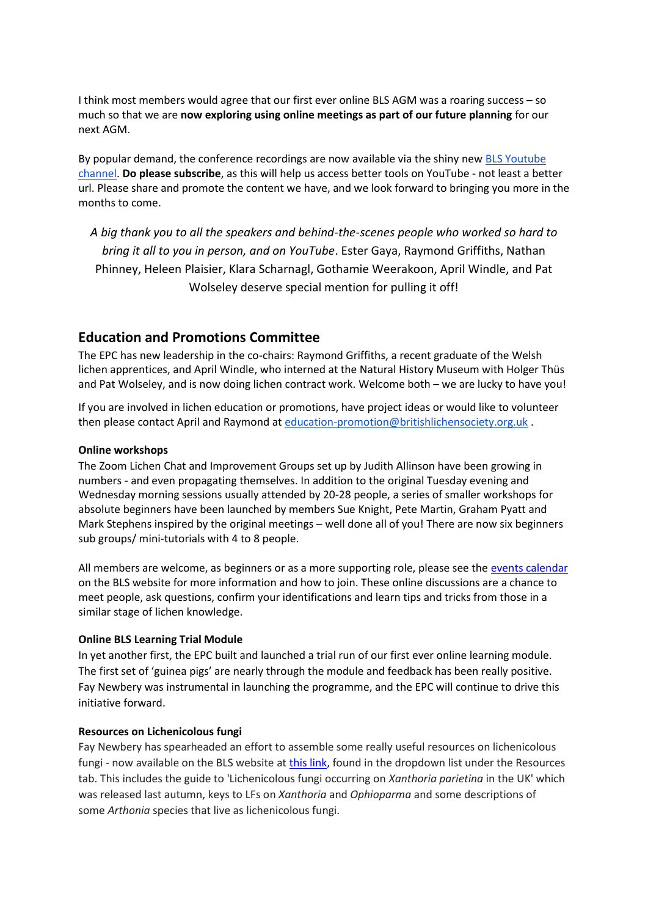I think most members would agree that our first ever online BLS AGM was a roaring success – so much so that we are **now exploring using online meetings as part of our future planning** for our next AGM.

By popular demand, the conference recordings are now available via the shiny new [BLS Youtube](http://www.youtube.com/channel/UCUjl6i-3zezoIGm9vhJ1yDg/videos)  [channel.](http://www.youtube.com/channel/UCUjl6i-3zezoIGm9vhJ1yDg/videos) **Do please subscribe**, as this will help us access better tools on YouTube - not least a better url. Please share and promote the content we have, and we look forward to bringing you more in the months to come.

*A big thank you to all the speakers and behind-the-scenes people who worked so hard to bring it all to you in person, and on YouTube*. Ester Gaya, Raymond Griffiths, Nathan Phinney, Heleen Plaisier, Klara Scharnagl, Gothamie Weerakoon, April Windle, and Pat Wolseley deserve special mention for pulling it off!

# <span id="page-1-0"></span>**Education and Promotions Committee**

The EPC has new leadership in the co-chairs: Raymond Griffiths, a recent graduate of the Welsh lichen apprentices, and April Windle, who interned at the Natural History Museum with Holger Thüs and Pat Wolseley, and is now doing lichen contract work. Welcome both – we are lucky to have you!

If you are involved in lichen education or promotions, have project ideas or would like to volunteer then please contact April and Raymond a[t education-promotion@britishlichensociety.org.uk](mailto:education-promotion@britishlichensociety.org.uk) .

### <span id="page-1-1"></span>**Online workshops**

The Zoom Lichen Chat and Improvement Groups set up by Judith Allinson have been growing in numbers - and even propagating themselves. In addition to the original Tuesday evening and Wednesday morning sessions usually attended by 20-28 people, a series of smaller workshops for absolute beginners have been launched by members Sue Knight, Pete Martin, Graham Pyatt and Mark Stephens inspired by the original meetings – well done all of you! There are now six beginners sub groups/ mini-tutorials with 4 to 8 people.

All members are welcome, as beginners or as a more supporting role, please see the [events calendar](https://www.britishlichensociety.org.uk/the-society/events/events-calendar) on the BLS website for more information and how to join. These online discussions are a chance to meet people, ask questions, confirm your identifications and learn tips and tricks from those in a similar stage of lichen knowledge.

### <span id="page-1-2"></span>**Online BLS Learning Trial Module**

In yet another first, the EPC built and launched a trial run of our first ever online learning module. The first set of 'guinea pigs' are nearly through the module and feedback has been really positive. Fay Newbery was instrumental in launching the programme, and the EPC will continue to drive this initiative forward.

### <span id="page-1-3"></span>**Resources on Lichenicolous fungi**

Fay Newbery has spearheaded an effort to assemble some really useful resources on lichenicolous fungi - now available on the BLS website at [this link,](https://www.britishlichensociety.org.uk/lichenicolous-fungi) found in the dropdown list under the Resources tab. This includes the guide to 'Lichenicolous fungi occurring on *Xanthoria parietina* in the UK' which was released last autumn, keys to LFs on *Xanthoria* and *Ophioparma* and some descriptions of some *Arthonia* species that live as lichenicolous fungi.